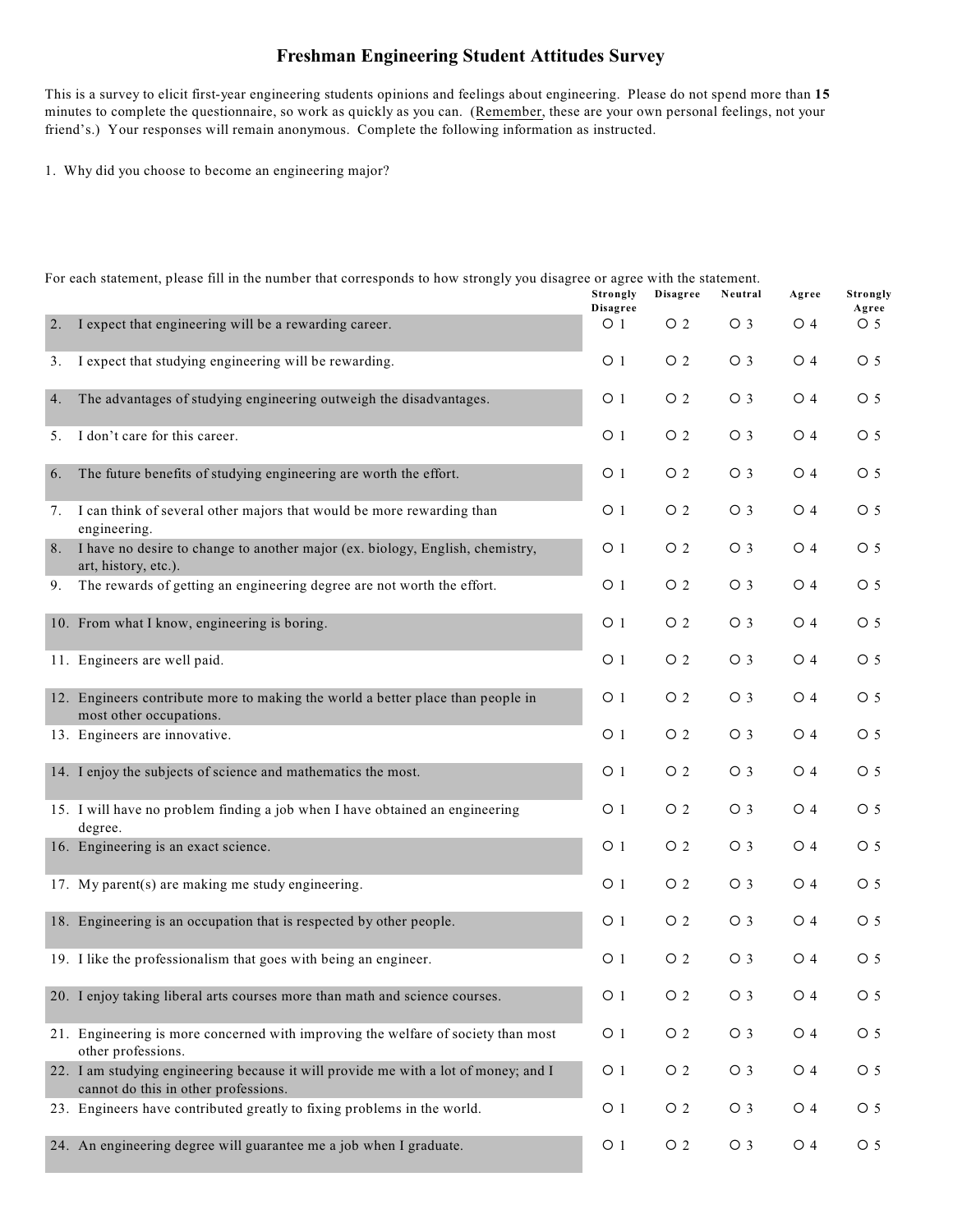## **Freshman Engineering Student Attitudes Survey**

This is a survey to elicit first-year engineering students opinions and feelings about engineering. Please do not spend more than **15** minutes to complete the questionnaire, so work as quickly as you can. (Remember, these are your own personal feelings, not your friend's.) Your responses will remain anonymous. Complete the following information as instructed.

1. Why did you choose to become an engineering major?

|    |                                                                                                                             | Strongly<br><b>Disagree</b> | <b>Disagree</b> | Neutral        | Agree          | Strongly<br>Agree |
|----|-----------------------------------------------------------------------------------------------------------------------------|-----------------------------|-----------------|----------------|----------------|-------------------|
|    | 2. I expect that engineering will be a rewarding career.                                                                    | $\circ$ 1                   | O <sub>2</sub>  | O <sub>3</sub> | O 4            | $\circ$ 5         |
|    | 3. I expect that studying engineering will be rewarding.                                                                    | O <sub>1</sub>              | O <sub>2</sub>  | $\bigcirc$ 3   | $\bigcirc$ 4   | O <sub>5</sub>    |
| 4. | The advantages of studying engineering outweigh the disadvantages.                                                          | O <sub>1</sub>              | O <sub>2</sub>  | $\bigcirc$ 3   | $\circ$ 4      | O <sub>5</sub>    |
| 5. | I don't care for this career.                                                                                               | O <sub>1</sub>              | O <sub>2</sub>  | $\bigcirc$ 3   | $\bigcirc$ 4   | O <sub>5</sub>    |
| 6. | The future benefits of studying engineering are worth the effort.                                                           | O <sub>1</sub>              | O <sub>2</sub>  | $\bigcirc$ 3   | $\circ$ 4      | O <sub>5</sub>    |
| 7. | I can think of several other majors that would be more rewarding than<br>engineering.                                       | O <sub>1</sub>              | O <sub>2</sub>  | $\bigcirc$ 3   | $\bigcirc$ 4   | O <sub>5</sub>    |
| 8. | I have no desire to change to another major (ex. biology, English, chemistry,<br>art, history, etc.).                       | O <sub>1</sub>              | $\circ$ 2       | $\bigcirc$ 3   | $\bigcirc$ 4   | O <sub>5</sub>    |
| 9. | The rewards of getting an engineering degree are not worth the effort.                                                      | O <sub>1</sub>              | O <sub>2</sub>  | $\bigcirc$ 3   | $\circ$ 4      | O <sub>5</sub>    |
|    | 10. From what I know, engineering is boring.                                                                                | O <sub>1</sub>              | $\circ$ 2       | $\circ$ 3      | $\bigcirc$ 4   | O <sub>5</sub>    |
|    | 11. Engineers are well paid.                                                                                                | O <sub>1</sub>              | O <sub>2</sub>  | O <sub>3</sub> | $\bigcirc$ 4   | O <sub>5</sub>    |
|    | 12. Engineers contribute more to making the world a better place than people in<br>most other occupations.                  | O <sub>1</sub>              | O <sub>2</sub>  | $\circ$ 3      | $\bigcirc$ 4   | O <sub>5</sub>    |
|    | 13. Engineers are innovative.                                                                                               | O <sub>1</sub>              | O <sub>2</sub>  | O <sub>3</sub> | $\bigcirc$ 4   | O <sub>5</sub>    |
|    | 14. I enjoy the subjects of science and mathematics the most.                                                               | O <sub>1</sub>              | O <sub>2</sub>  | $\bigcirc$ 3   | $\bigcirc$ 4   | O <sub>5</sub>    |
|    | 15. I will have no problem finding a job when I have obtained an engineering<br>degree.                                     | O <sub>1</sub>              | $\circ$ 2       | $\circ$ 3      | $\bigcirc$ 4   | O <sub>5</sub>    |
|    | 16. Engineering is an exact science.                                                                                        | O <sub>1</sub>              | O <sub>2</sub>  | $\circ$ 3      | $\bigcirc$ 4   | O <sub>5</sub>    |
|    | 17. My parent(s) are making me study engineering.                                                                           | O <sub>1</sub>              | $\circ$ 2       | $\circ$ 3      | $\bigcirc$ 4   | $\circ$ 5         |
|    | 18. Engineering is an occupation that is respected by other people.                                                         | O <sub>1</sub>              | $\circ$ 2       | $\circ$ 3      | $\bigcirc$ 4   | $\circ$ 5         |
|    | 19. I like the professionalism that goes with being an engineer.                                                            | O <sub>1</sub>              | O <sub>2</sub>  | $\circ$ 3      | $\bigcirc$ 4   | O <sub>5</sub>    |
|    | 20. I enjoy taking liberal arts courses more than math and science courses.                                                 | O <sub>1</sub>              | O <sub>2</sub>  | O <sub>3</sub> | O <sub>4</sub> | O <sub>5</sub>    |
|    | 21. Engineering is more concerned with improving the welfare of society than most<br>other professions.                     | O <sub>1</sub>              | O <sub>2</sub>  | O <sub>3</sub> | $\bigcirc$ 4   | O <sub>5</sub>    |
|    | 22. I am studying engineering because it will provide me with a lot of money; and I<br>cannot do this in other professions. | O <sub>1</sub>              | O <sub>2</sub>  | O <sub>3</sub> | $\bigcirc$ 4   | O <sub>5</sub>    |
|    | 23. Engineers have contributed greatly to fixing problems in the world.                                                     | O <sub>1</sub>              | O <sub>2</sub>  | O <sub>3</sub> | $\bigcirc$ 4   | $\circ$ 5         |
|    | 24. An engineering degree will guarantee me a job when I graduate.                                                          | O <sub>1</sub>              | O <sub>2</sub>  | O <sub>3</sub> | $\bigcirc$ 4   | O <sub>5</sub>    |

For each statement, please fill in the number that corresponds to how strongly you disagree or agree with the statement.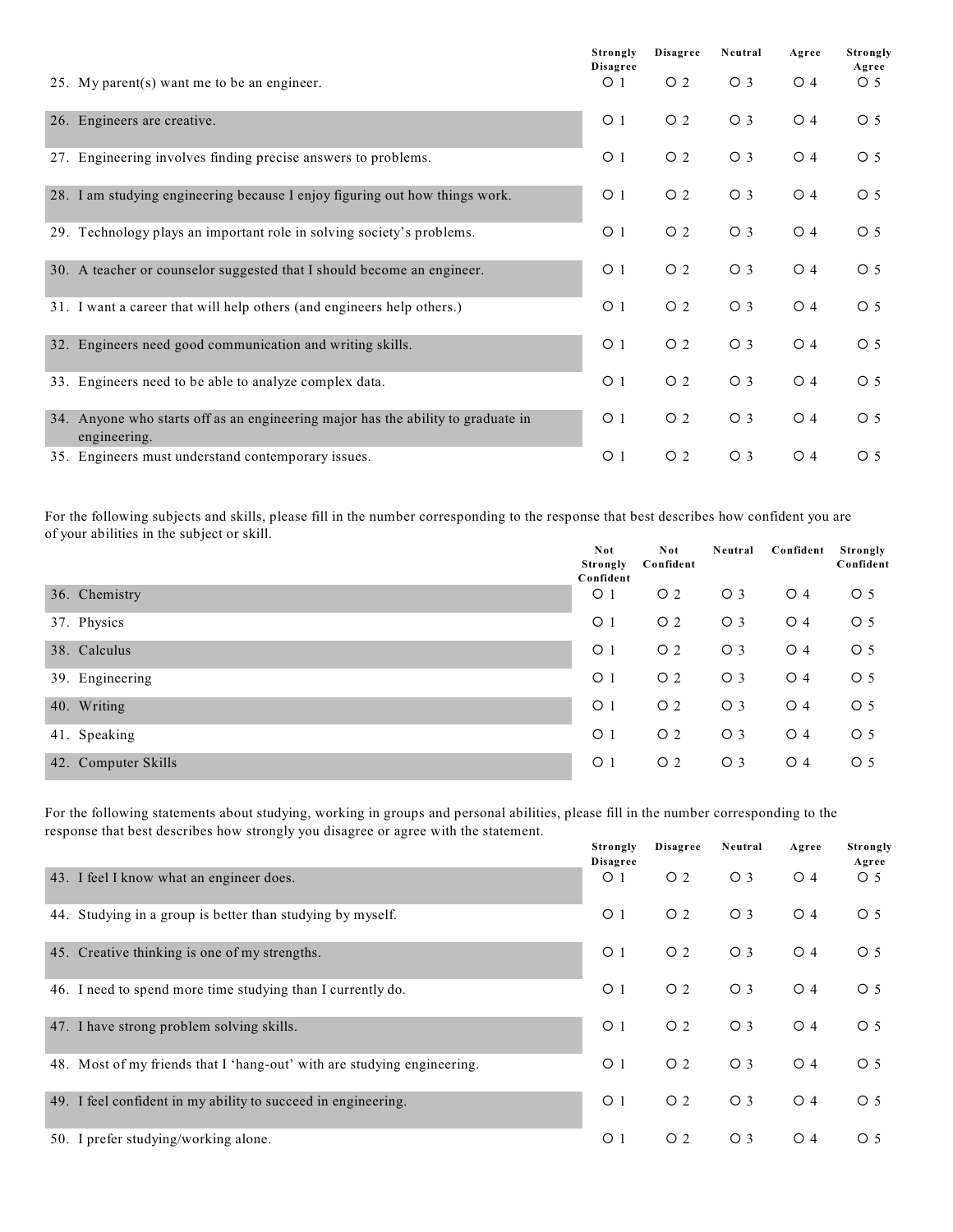|                                                                                                  | Strongly<br><b>Disagree</b> | <b>Disagree</b> | Neutral        | Agree            | Strongly<br>Agree |
|--------------------------------------------------------------------------------------------------|-----------------------------|-----------------|----------------|------------------|-------------------|
| 25. My parent(s) want me to be an engineer.                                                      | $\circ$ 1                   | $\overline{O}2$ | $\bigcirc$ 3   | $\overline{O}$ 4 | $\circ$ 5         |
| 26. Engineers are creative.                                                                      | $\circ$ 1                   | O <sub>2</sub>  | $\bigcirc$ 3   | $\overline{O}$ 4 | O <sub>5</sub>    |
| 27. Engineering involves finding precise answers to problems.                                    | $\circ$ 1                   | O <sub>2</sub>  | $\bigcirc$ 3   | $\overline{O}$ 4 | $\circ$ 5         |
| 28. I am studying engineering because I enjoy figuring out how things work.                      | $\circ$ 1                   | O <sub>2</sub>  | O <sub>3</sub> | $\overline{O}$ 4 | $\circ$ 5         |
| 29. Technology plays an important role in solving society's problems.                            | $\circ$ 1                   | O <sub>2</sub>  | $\bigcirc$ 3   | $\overline{O}$ 4 | $\circ$ 5         |
| 30. A teacher or counselor suggested that I should become an engineer.                           | $\circ$ 1                   | O <sub>2</sub>  | $\bigcirc$ 3   | $\overline{O}$ 4 | $\circ$ 5         |
| 31. I want a career that will help others (and engineers help others.)                           | $\circ$ 1                   | O <sub>2</sub>  | O <sub>3</sub> | $\overline{O}$ 4 | O <sub>5</sub>    |
| 32. Engineers need good communication and writing skills.                                        | $\circ$ 1                   | O <sub>2</sub>  | $\bigcirc$ 3   | $\overline{O}$ 4 | $\circ$ 5         |
| 33. Engineers need to be able to analyze complex data.                                           | $\circ$ 1                   | O <sub>2</sub>  | O <sub>3</sub> | $\overline{O}$ 4 | $\circ$ 5         |
| 34. Anyone who starts off as an engineering major has the ability to graduate in<br>engineering. | $\circ$ 1                   | O <sub>2</sub>  | $\bigcirc$ 3   | $\bigcirc$ 4     | O <sub>5</sub>    |
| 35. Engineers must understand contemporary issues.                                               | $\circ$ 1                   | O <sub>2</sub>  | O <sub>3</sub> | $\overline{O}$ 4 | $\circ$ 5         |

For the following subjects and skills, please fill in the number corresponding to the response that best describes how confident you are of your abilities in the subject or skill.

|                     | Not<br>Strongly<br>Confident | Not<br>Confident | Neutral        | Confident    | Strongly<br>Confident |
|---------------------|------------------------------|------------------|----------------|--------------|-----------------------|
| 36. Chemistry       | O <sub>1</sub>               | $\circ$ 2        | O <sub>3</sub> | $\bigcirc$ 4 | $\circ$ 5             |
| 37. Physics         | $\circ$ 1                    | $\overline{O}2$  | $\bigcirc$ 3   | $\circ$ 4    | $\circ$ 5             |
| 38. Calculus        | $\circ$ 1                    | $\circ$ 2        | $\bigcirc$ 3   | $\circ$ 4    | $\circ$ 5             |
| 39. Engineering     | $\circ$ 1                    | $\overline{O}2$  | O <sub>3</sub> | $\circ$ 4    | $\circ$ 5             |
| 40. Writing         | O <sub>1</sub>               | $\circ$ 2        | O <sub>3</sub> | $\bigcirc$ 4 | $\circ$ 5             |
| 41. Speaking        | $\circ$ 1                    | $\overline{O}2$  | O <sub>3</sub> | $\bigcirc$ 4 | $\circ$ 5             |
| 42. Computer Skills | $\circ$ 1                    | $\overline{O}2$  | $\bigcirc$ 3   | $\bigcirc$ 4 | $\circ$ 5             |

For the following statements about studying, working in groups and personal abilities, please fill in the number corresponding to the response that best describes how strongly you disagree or agree with the statement. **Strongly Dissant Disagree Neutral Agree Strongly**

|                                                                         | Strongly<br><b>Disagree</b> | Disagree       | Neutral        | Agree            | Strongly<br>Agree |
|-------------------------------------------------------------------------|-----------------------------|----------------|----------------|------------------|-------------------|
| 43. I feel I know what an engineer does.                                | $\circ$ 1                   | O <sub>2</sub> | $\bigcirc$ 3   | $\overline{O}$ 4 | $\circ$ 5         |
| 44. Studying in a group is better than studying by myself.              | $\circ$ 1                   | O <sub>2</sub> | O <sub>3</sub> | $\overline{O}$ 4 | O <sub>5</sub>    |
| 45. Creative thinking is one of my strengths.                           | O <sub>1</sub>              | O <sub>2</sub> | $\bigcirc$ 3   | $\overline{O}$ 4 | $\circ$ 5         |
| 46. I need to spend more time studying than I currently do.             | O <sub>1</sub>              | O <sub>2</sub> | $\bigcirc$ 3   | $\overline{O}$ 4 | O <sub>5</sub>    |
| 47. I have strong problem solving skills.                               | O <sub>1</sub>              | O <sub>2</sub> | O <sub>3</sub> | O <sub>4</sub>   | O <sub>5</sub>    |
| 48. Most of my friends that I 'hang-out' with are studying engineering. | O <sub>1</sub>              | O <sub>2</sub> | O <sub>3</sub> | $\bigcirc$ 4     | O <sub>5</sub>    |
| 49. I feel confident in my ability to succeed in engineering.           | O <sub>1</sub>              | O <sub>2</sub> | O <sub>3</sub> | $\bigcirc$ 4     | O <sub>5</sub>    |
| 50. I prefer studying/working alone.                                    | $\circ$ 1                   | O <sub>2</sub> | $\bigcirc$ 3   | $\overline{O}$ 4 | $\circ$ 5         |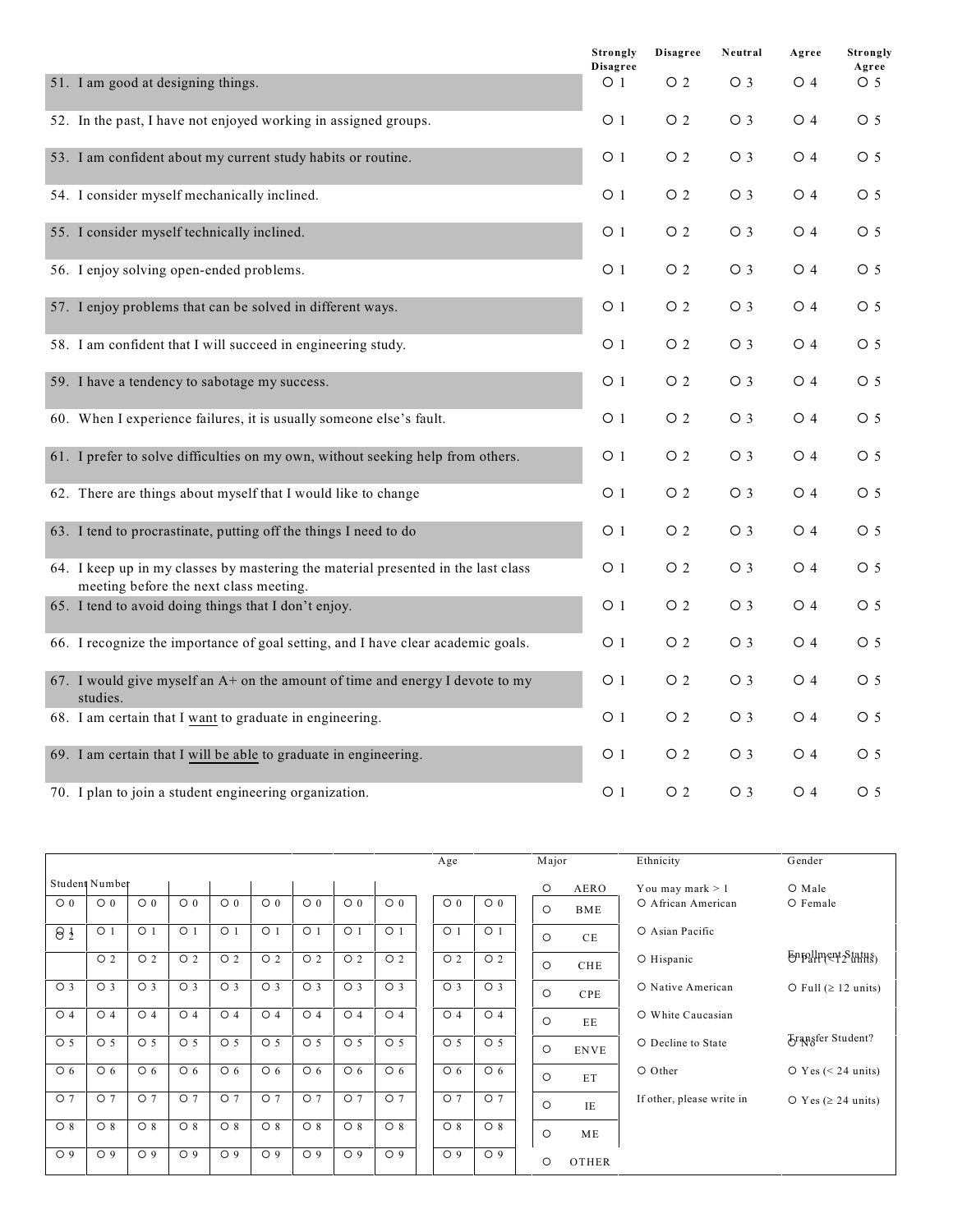|                                                                                                                             | <b>Strongly</b><br><b>Disagree</b> | <b>Disagree</b>  | Neutral        | Agree            | Strongly<br>Agree |
|-----------------------------------------------------------------------------------------------------------------------------|------------------------------------|------------------|----------------|------------------|-------------------|
| 51. I am good at designing things.                                                                                          | $\circ$ 1                          | O <sub>2</sub>   | O <sub>3</sub> | $\overline{O}$ 4 | $\circ$ 5         |
| 52. In the past, I have not enjoyed working in assigned groups.                                                             | $\circ$ 1                          | O <sub>2</sub>   | O <sub>3</sub> | $\circ$ 4        | O <sub>5</sub>    |
| 53. I am confident about my current study habits or routine.                                                                | $\circ$ 1                          | O <sub>2</sub>   | O <sub>3</sub> | $\circ$ 4        | $\circ$ 5         |
| 54. I consider myself mechanically inclined.                                                                                | $\circ$ 1                          | $\overline{O}$ 2 | O <sub>3</sub> | $\circ$ 4        | O 5               |
| 55. I consider myself technically inclined.                                                                                 | O <sub>1</sub>                     | O <sub>2</sub>   | $\bigcirc$ 3   | $\overline{O}$ 4 | O <sub>5</sub>    |
| 56. I enjoy solving open-ended problems.                                                                                    | $\circ$ 1                          | $\overline{O}$ 2 | $\bigcirc$ 3   | $\circ$ 4        | O <sub>5</sub>    |
| 57. I enjoy problems that can be solved in different ways.                                                                  | $\circ$ 1                          | O <sub>2</sub>   | $\bigcirc$ 3   | $\circ$ 4        | O 5               |
| 58. I am confident that I will succeed in engineering study.                                                                | O <sub>1</sub>                     | O <sub>2</sub>   | O <sub>3</sub> | $\circ$ 4        | O <sub>5</sub>    |
| 59. I have a tendency to sabotage my success.                                                                               | $\circ$ 1                          | O <sub>2</sub>   | O <sub>3</sub> | $\circ$ 4        | $\circ$ 5         |
| 60. When I experience failures, it is usually someone else's fault.                                                         | $\circ$ 1                          | O <sub>2</sub>   | O <sub>3</sub> | $\circ$ 4        | O 5               |
| 61. I prefer to solve difficulties on my own, without seeking help from others.                                             | $\circ$ 1                          | O <sub>2</sub>   | $\bigcirc$ 3   | $\overline{O}$ 4 | $\circ$ 5         |
| 62. There are things about myself that I would like to change                                                               | $\circ$ 1                          | O <sub>2</sub>   | $\bigcirc$ 3   | $\circ$ 4        | O 5               |
| 63. I tend to procrastinate, putting off the things I need to do                                                            | O <sub>1</sub>                     | O <sub>2</sub>   | $\bigcirc$ 3   | $\overline{O}$ 4 | O 5               |
| 64. I keep up in my classes by mastering the material presented in the last class<br>meeting before the next class meeting. | O <sub>1</sub>                     | O <sub>2</sub>   | $\circ$ 3      | $\overline{O}$ 4 | $\circ$ 5         |
| 65. I tend to avoid doing things that I don't enjoy.                                                                        | O <sub>1</sub>                     | O <sub>2</sub>   | O <sub>3</sub> | $\circ$ 4        | $\circ$ 5         |
| 66. I recognize the importance of goal setting, and I have clear academic goals.                                            | $\circ$ 1                          | $\overline{O}$ 2 | O <sub>3</sub> | $\circ$ 4        | $\circ$ 5         |
| 67. I would give myself an $A$ + on the amount of time and energy I devote to my<br>studies.                                | $\circ$ 1                          | $\circ$ 2        | $\bigcirc$ 3   | $\circ$ 4        | O 5               |
| 68. I am certain that I want to graduate in engineering.                                                                    | $\circ$ 1                          | O <sub>2</sub>   | O <sub>3</sub> | $\overline{O}$ 4 | O 5               |
| 69. I am certain that I will be able to graduate in engineering.                                                            | $\overline{O}$ 1                   | O <sub>2</sub>   | $\bigcirc$ 3   | O <sub>4</sub>   | $\circ$ 5         |
| 70. I plan to join a student engineering organization.                                                                      | $\circ$ 1                          | O <sub>2</sub>   | $\bigcirc$ 3   | $\overline{O}$ 4 | $\circ$ 5         |

|                       |                |                |                |                |                |                |                |                | Age            |                | Major   |             | Ethnicity                 | Gender                             |
|-----------------------|----------------|----------------|----------------|----------------|----------------|----------------|----------------|----------------|----------------|----------------|---------|-------------|---------------------------|------------------------------------|
|                       | Student Number |                |                |                |                |                |                |                |                |                | $\circ$ | AERO        | You may mark $> 1$        | O Male                             |
| $\circ$ 0             | $\circ$ 0      | $\circ$ 0      | $\circ$ 0      | $\circ$ 0      | $\circ$ 0      | $\circ$ 0      | $\circ$ 0      | $\circ$ 0      | $\circ$ 0      | $\circ$ 0      | $\circ$ | BME         | O African American        | O Female                           |
| $\Theta$ <sup>1</sup> | O <sub>1</sub> | O <sub>1</sub> | O <sub>1</sub> | O <sub>1</sub> | O <sub>1</sub> | O <sub>1</sub> | O <sub>1</sub> | O <sub>1</sub> | O <sub>1</sub> | O <sub>1</sub> | $\circ$ | $\rm CE$    | O Asian Pacific           |                                    |
|                       | O <sub>2</sub> | O <sub>2</sub> | O <sub>2</sub> | O <sub>2</sub> | O <sub>2</sub> | O <sub>2</sub> | O <sub>2</sub> | O <sub>2</sub> | O <sub>2</sub> | O <sub>2</sub> | $\circ$ | CHE         | O Hispanic                | Enpllment Status)                  |
| O <sub>3</sub>        | O <sub>3</sub> | O <sub>3</sub> | O <sub>3</sub> | O <sub>3</sub> | O <sub>3</sub> | O <sub>3</sub> | O <sub>3</sub> | O <sub>3</sub> | O <sub>3</sub> | O <sub>3</sub> | $\circ$ | CPE         | O Native American         | $O$ Full ( $\geq$ 12 units)        |
| $\circ$ 4             | $\circ$ 4      | O <sub>4</sub> | $\circ$ 4      | O <sub>4</sub> | O <sub>4</sub> | O <sub>4</sub> | $\circ$ 4      | O <sub>4</sub> | O <sub>4</sub> | O <sub>4</sub> | $\circ$ | EE          | O White Caucasian         |                                    |
| O <sub>5</sub>        | O <sub>5</sub> | O <sub>5</sub> | O <sub>5</sub> | O <sub>5</sub> | O <sub>5</sub> | O <sub>5</sub> | O <sub>5</sub> | O <sub>5</sub> | O <sub>5</sub> | O <sub>5</sub> | $\circ$ | <b>ENVE</b> | O Decline to State        | Fransfer Student?                  |
| $\circ$ 6             | $\circ$ 6      | $\circ$ 6      | $\circ$ 6      | $\circ$ 6      | $\circ$ 6      | $\circ$ 6      | $\circ$ 6      | $\circ$ 6      | $\circ$ 6      | $\circ$ 6      | $\circ$ | ET          | O Other                   | $\textcircled{y}$ Yes (< 24 units) |
| O <sub>7</sub>        | O <sub>7</sub> | O <sub>7</sub> | O <sub>7</sub> | O <sub>7</sub> | O <sub>7</sub> | O <sub>7</sub> | O <sub>7</sub> | O <sub>7</sub> | O <sub>7</sub> | O <sub>7</sub> | $\circ$ | IE          | If other, please write in | O Yes ( $\geq$ 24 units)           |
| $\circ$ 8             | $O_8$          | $O_8$          | $\circ$ 8      | $\circ$ 8      | $\circ$ 8      | $\circ$ 8      | $\circ$ 8      | $\circ$ 8      | $\circ$ 8      | $O_8$          | $\circ$ | ME          |                           |                                    |
| O <sub>9</sub>        | O <sub>9</sub> | O <sub>9</sub> | O <sub>9</sub> | O <sub>9</sub> | O <sub>9</sub> | O <sub>9</sub> | O <sub>9</sub> | O <sub>9</sub> | O <sub>9</sub> | O <sub>9</sub> | $\circ$ | OTHER       |                           |                                    |